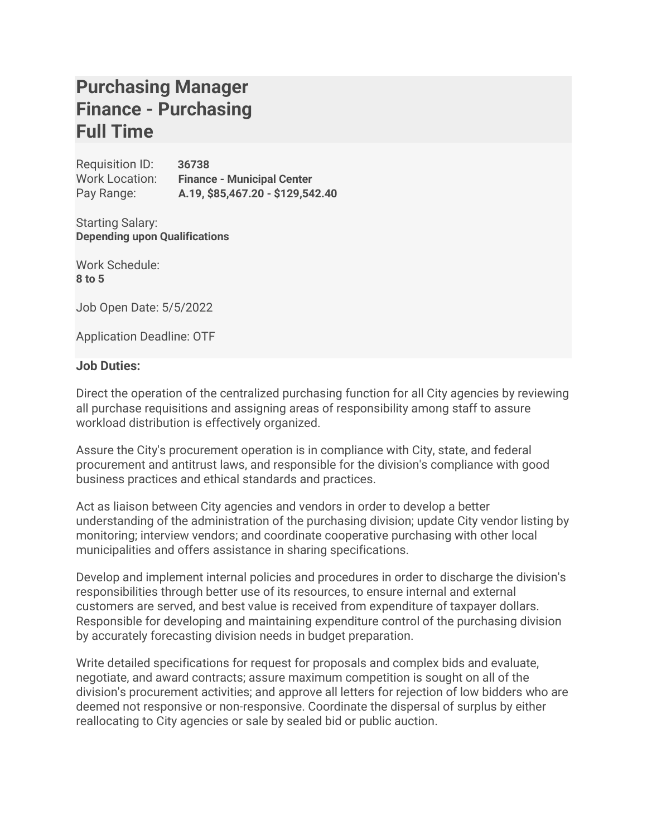# **Purchasing Manager Finance - Purchasing Full Time**

Requisition ID: **36738** Work Location: **Finance - Municipal Center** Pay Range: **A.19, \$85,467.20 - \$129,542.40**

Starting Salary: **Depending upon Qualifications**

Work Schedule: **8 to 5**

Job Open Date: 5/5/2022

Application Deadline: OTF

# **Job Duties:**

Direct the operation of the centralized purchasing function for all City agencies by reviewing all purchase requisitions and assigning areas of responsibility among staff to assure workload distribution is effectively organized.

Assure the City's procurement operation is in compliance with City, state, and federal procurement and antitrust laws, and responsible for the division's compliance with good business practices and ethical standards and practices.

Act as liaison between City agencies and vendors in order to develop a better understanding of the administration of the purchasing division; update City vendor listing by monitoring; interview vendors; and coordinate cooperative purchasing with other local municipalities and offers assistance in sharing specifications.

Develop and implement internal policies and procedures in order to discharge the division's responsibilities through better use of its resources, to ensure internal and external customers are served, and best value is received from expenditure of taxpayer dollars. Responsible for developing and maintaining expenditure control of the purchasing division by accurately forecasting division needs in budget preparation.

Write detailed specifications for request for proposals and complex bids and evaluate, negotiate, and award contracts; assure maximum competition is sought on all of the division's procurement activities; and approve all letters for rejection of low bidders who are deemed not responsive or non-responsive. Coordinate the dispersal of surplus by either reallocating to City agencies or sale by sealed bid or public auction.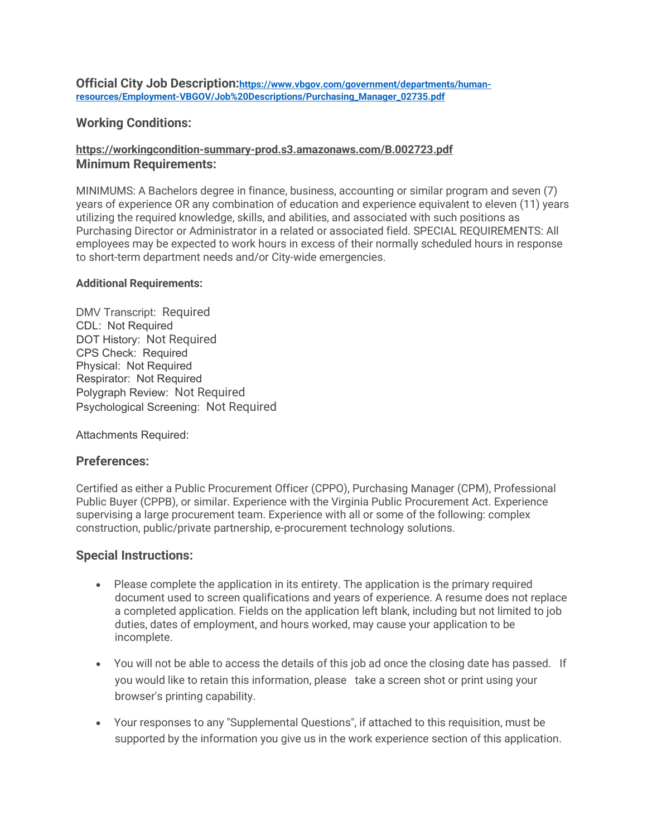**Official City Job Description:** https://www.vbgov.com/government/departments/human**[resources/Employment-VBGOV/Job%20Descriptions/Purchasing\\_Manager\\_02735.pdf](https://www.vbgov.com/government/departments/human-resources/Employment-VBGOV/Job%20Descriptions/Purchasing_Manager_02735.pdf)**

## **Working Conditions:**

# **<https://workingcondition-summary-prod.s3.amazonaws.com/B.002723.pdf> Minimum Requirements:**

MINIMUMS: A Bachelors degree in finance, business, accounting or similar program and seven (7) years of experience OR any combination of education and experience equivalent to eleven (11) years utilizing the required knowledge, skills, and abilities, and associated with such positions as Purchasing Director or Administrator in a related or associated field. SPECIAL REQUIREMENTS: All employees may be expected to work hours in excess of their normally scheduled hours in response to short-term department needs and/or City-wide emergencies.

#### **Additional Requirements:**

DMV Transcript: Required CDL: Not Required DOT History: Not Required CPS Check: Required Physical: Not Required Respirator: Not Required Polygraph Review: Not Required Psychological Screening: Not Required

Attachments Required:

# **Preferences:**

Certified as either a Public Procurement Officer (CPPO), Purchasing Manager (CPM), Professional Public Buyer (CPPB), or similar. Experience with the Virginia Public Procurement Act. Experience supervising a large procurement team. Experience with all or some of the following: complex construction, public/private partnership, e-procurement technology solutions.

#### **Special Instructions:**

- Please complete the application in its entirety. The application is the primary required document used to screen qualifications and years of experience. A resume does not replace a completed application. Fields on the application left blank, including but not limited to job duties, dates of employment, and hours worked, may cause your application to be incomplete.
- You will not be able to access the details of this job ad once the closing date has passed. If you would like to retain this information, please take a screen shot or print using your browser's printing capability.
- Your responses to any "Supplemental Questions", if attached to this requisition, must be supported by the information you give us in the work experience section of this application.